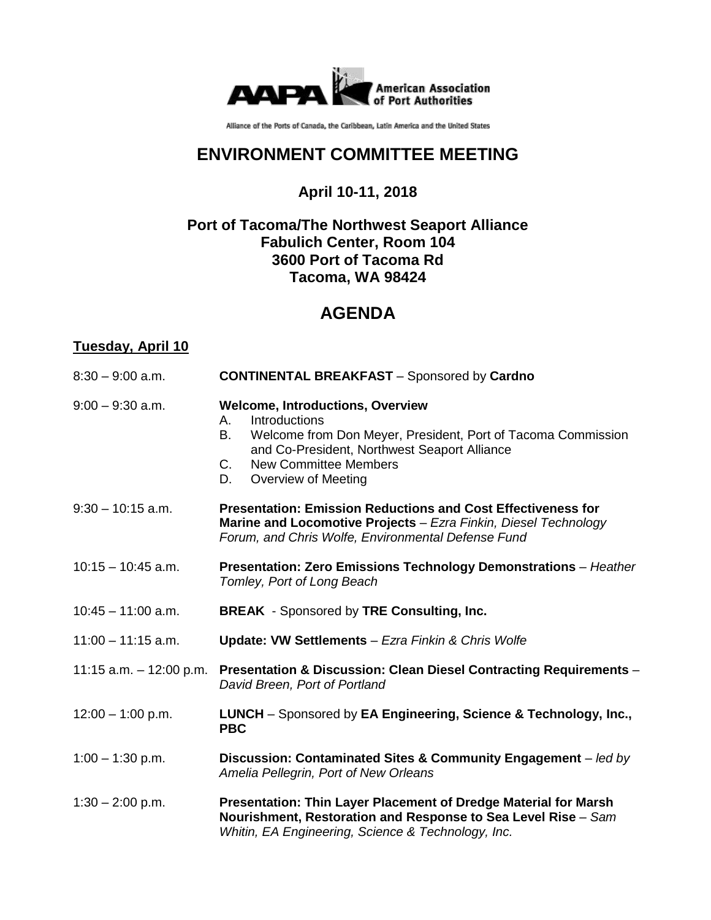

Alliance of the Ports of Canada, the Caribbean, Latin America and the United States

## **ENVIRONMENT COMMITTEE MEETING**

**April 10-11, 2018**

## **Port of Tacoma/The Northwest Seaport Alliance Fabulich Center, Room 104 3600 Port of Tacoma Rd Tacoma, WA 98424**

# **AGENDA**

## **Tuesday, April 10**

| $8:30 - 9:00$ a.m.   | <b>CONTINENTAL BREAKFAST</b> - Sponsored by Cardno                                                                                                                                                                                                      |
|----------------------|---------------------------------------------------------------------------------------------------------------------------------------------------------------------------------------------------------------------------------------------------------|
| $9:00 - 9:30$ a.m.   | <b>Welcome, Introductions, Overview</b><br>Introductions<br>А.<br>Welcome from Don Meyer, President, Port of Tacoma Commission<br>В.<br>and Co-President, Northwest Seaport Alliance<br><b>New Committee Members</b><br>C.<br>Overview of Meeting<br>D. |
| $9:30 - 10:15$ a.m.  | <b>Presentation: Emission Reductions and Cost Effectiveness for</b><br>Marine and Locomotive Projects - Ezra Finkin, Diesel Technology<br>Forum, and Chris Wolfe, Environmental Defense Fund                                                            |
| $10:15 - 10:45$ a.m. | Presentation: Zero Emissions Technology Demonstrations - Heather<br>Tomley, Port of Long Beach                                                                                                                                                          |
| $10:45 - 11:00$ a.m. | <b>BREAK</b> - Sponsored by TRE Consulting, Inc.                                                                                                                                                                                                        |
| $11:00 - 11:15$ a.m. | <b>Update: VW Settlements - Ezra Finkin &amp; Chris Wolfe</b>                                                                                                                                                                                           |
|                      | 11:15 a.m. - 12:00 p.m. Presentation & Discussion: Clean Diesel Contracting Requirements -<br>David Breen, Port of Portland                                                                                                                             |
| $12:00 - 1:00$ p.m.  | LUNCH - Sponsored by EA Engineering, Science & Technology, Inc.,<br><b>PBC</b>                                                                                                                                                                          |
| $1:00 - 1:30$ p.m.   | Discussion: Contaminated Sites & Community Engagement - led by<br>Amelia Pellegrin, Port of New Orleans                                                                                                                                                 |
| $1:30 - 2:00$ p.m.   | Presentation: Thin Layer Placement of Dredge Material for Marsh<br>Nourishment, Restoration and Response to Sea Level Rise - Sam<br>Whitin, EA Engineering, Science & Technology, Inc.                                                                  |